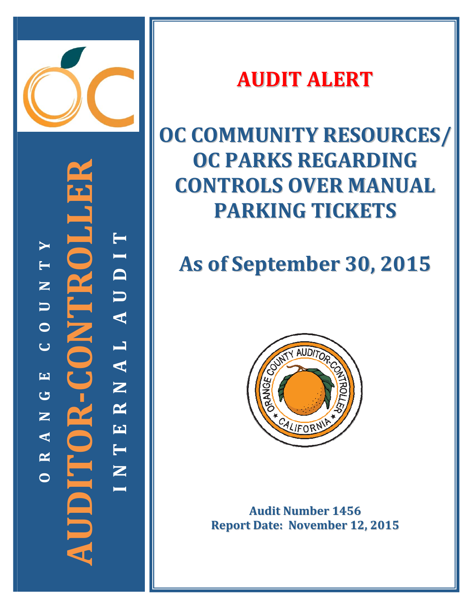

**‐CONTROLLER TYI T** PC LIL **D N U U A**  $\mathbf{Z}$ **O L C**  $O R - CI$ **A EN G R AUDITOR N E A T R N O**E **I**

## **AUDIT ALERT**

# **OC COMMUNITY RESOURCES/ OC PARKS REGARDING CONTROLS OVER MANUAL PARKING TICKETS**

# **As of September 30, 2015**



**Audit Number 1456 Report Date: November 12, 2015**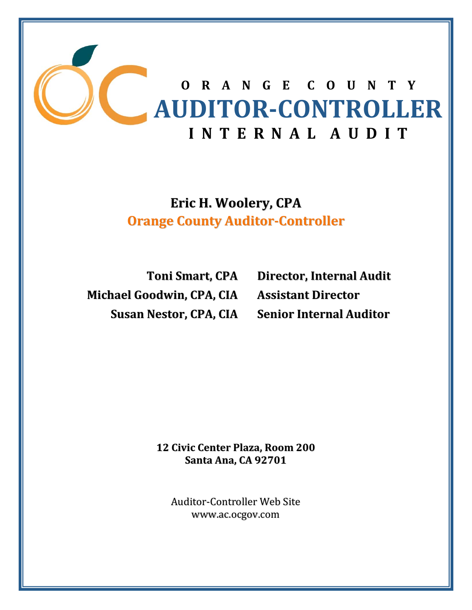

**Eric H. Woolery, CPA Orange County Auditor‐Controller**

**Toni Smart, CPA Michael Goodwin, CPA, CIA**

**Susan Nestor, CPA, CIA Senior Internal Auditor Director, Internal Audit Assistant Director**

> **12 Civic Center Plaza, Room 200 Santa Ana, CA 92701**

Auditor‐Controller Web Site www.ac.ocgov.com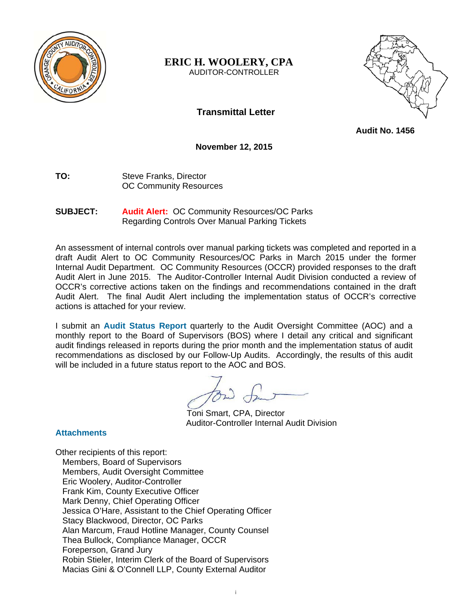

## **ERIC H. WOOLERY, CPA**  AUDITOR-CONTROLLER



**Transmittal Letter** 

 **Audit No. 1456** 

**November 12, 2015** 

- **TO:** Steve Franks, Director OC Community Resources
- **SUBJECT: Audit Alert:** OC Community Resources/OC Parks Regarding Controls Over Manual Parking Tickets

An assessment of internal controls over manual parking tickets was completed and reported in a draft Audit Alert to OC Community Resources/OC Parks in March 2015 under the former Internal Audit Department. OC Community Resources (OCCR) provided responses to the draft Audit Alert in June 2015. The Auditor-Controller Internal Audit Division conducted a review of OCCR's corrective actions taken on the findings and recommendations contained in the draft Audit Alert. The final Audit Alert including the implementation status of OCCR's corrective actions is attached for your review.

I submit an **Audit Status Report** quarterly to the Audit Oversight Committee (AOC) and a monthly report to the Board of Supervisors (BOS) where I detail any critical and significant audit findings released in reports during the prior month and the implementation status of audit recommendations as disclosed by our Follow-Up Audits. Accordingly, the results of this audit will be included in a future status report to the AOC and BOS.

Toni Smart, CPA, Director Auditor-Controller Internal Audit Division

## **Attachments**

Other recipients of this report: Members, Board of Supervisors Members, Audit Oversight Committee Eric Woolery, Auditor-Controller Frank Kim, County Executive Officer Mark Denny, Chief Operating Officer Jessica O'Hare, Assistant to the Chief Operating Officer Stacy Blackwood, Director, OC Parks Alan Marcum, Fraud Hotline Manager, County Counsel Thea Bullock, Compliance Manager, OCCR Foreperson, Grand Jury Robin Stieler, Interim Clerk of the Board of Supervisors Macias Gini & O'Connell LLP, County External Auditor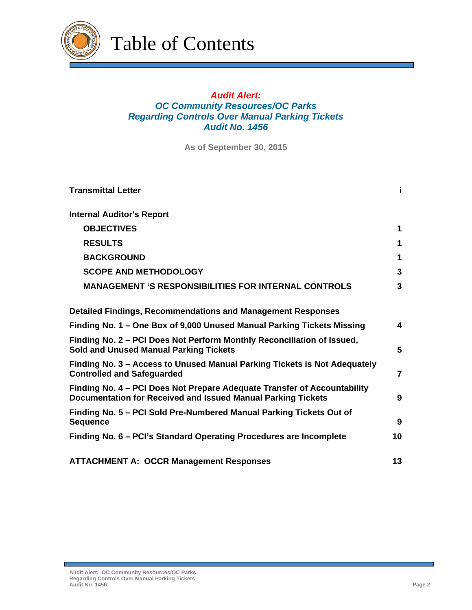

Table of Contents

## *Audit Alert: OC Community Resources/OC Parks Regarding Controls Over Manual Parking Tickets Audit No. 1456*

**As of September 30, 2015**

| <b>Transmittal Letter</b>                                                                                                                | i. |  |
|------------------------------------------------------------------------------------------------------------------------------------------|----|--|
| <b>Internal Auditor's Report</b>                                                                                                         |    |  |
| <b>OBJECTIVES</b>                                                                                                                        | 1  |  |
| <b>RESULTS</b>                                                                                                                           | 1  |  |
| <b>BACKGROUND</b>                                                                                                                        | 1  |  |
| <b>SCOPE AND METHODOLOGY</b>                                                                                                             | 3  |  |
| <b>MANAGEMENT 'S RESPONSIBILITIES FOR INTERNAL CONTROLS</b>                                                                              | 3  |  |
| <b>Detailed Findings, Recommendations and Management Responses</b>                                                                       |    |  |
| Finding No. 1 – One Box of 9,000 Unused Manual Parking Tickets Missing                                                                   | 4  |  |
| Finding No. 2 – PCI Does Not Perform Monthly Reconciliation of Issued,<br><b>Sold and Unused Manual Parking Tickets</b>                  | 5  |  |
| Finding No. 3 – Access to Unused Manual Parking Tickets is Not Adequately<br><b>Controlled and Safeguarded</b>                           |    |  |
| Finding No. 4 – PCI Does Not Prepare Adequate Transfer of Accountability<br>Documentation for Received and Issued Manual Parking Tickets | 9  |  |
| Finding No. 5 – PCI Sold Pre-Numbered Manual Parking Tickets Out of<br><b>Sequence</b>                                                   | 9  |  |
| Finding No. 6 – PCI's Standard Operating Procedures are Incomplete                                                                       | 10 |  |
| <b>ATTACHMENT A: OCCR Management Responses</b>                                                                                           | 13 |  |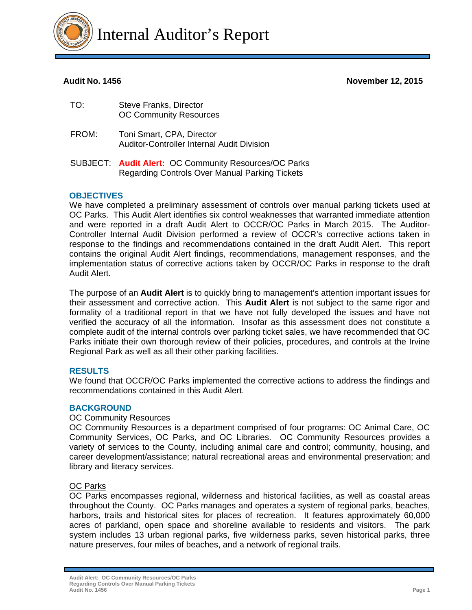

**Audit No. 1456 November 12, 2015** 

| TO:   | <b>Steve Franks, Director</b><br><b>OC Community Resources</b>                 |
|-------|--------------------------------------------------------------------------------|
| FROM: | Toni Smart, CPA, Director<br><b>Auditor-Controller Internal Audit Division</b> |
|       |                                                                                |

SUBJECT: **Audit Alert:** OC Community Resources/OC Parks Regarding Controls Over Manual Parking Tickets

## **OBJECTIVES**

We have completed a preliminary assessment of controls over manual parking tickets used at OC Parks. This Audit Alert identifies six control weaknesses that warranted immediate attention and were reported in a draft Audit Alert to OCCR/OC Parks in March 2015. The Auditor-Controller Internal Audit Division performed a review of OCCR's corrective actions taken in response to the findings and recommendations contained in the draft Audit Alert. This report contains the original Audit Alert findings, recommendations, management responses, and the implementation status of corrective actions taken by OCCR/OC Parks in response to the draft Audit Alert.

The purpose of an **Audit Alert** is to quickly bring to management's attention important issues for their assessment and corrective action. This **Audit Alert** is not subject to the same rigor and formality of a traditional report in that we have not fully developed the issues and have not verified the accuracy of all the information. Insofar as this assessment does not constitute a complete audit of the internal controls over parking ticket sales, we have recommended that OC Parks initiate their own thorough review of their policies, procedures, and controls at the Irvine Regional Park as well as all their other parking facilities.

## **RESULTS**

We found that OCCR/OC Parks implemented the corrective actions to address the findings and recommendations contained in this Audit Alert.

## **BACKGROUND**

## OC Community Resources

OC Community Resources is a department comprised of four programs: OC Animal Care, OC Community Services, OC Parks, and OC Libraries. OC Community Resources provides a variety of services to the County, including animal care and control; community, housing, and career development/assistance; natural recreational areas and environmental preservation; and library and literacy services.

## OC Parks

OC Parks encompasses regional, wilderness and historical facilities, as well as coastal areas throughout the County. OC Parks manages and operates a system of regional parks, beaches, harbors, trails and historical sites for places of recreation. It features approximately 60,000 acres of parkland, open space and shoreline available to residents and visitors. The park system includes 13 urban regional parks, five wilderness parks, seven historical parks, three nature preserves, four miles of beaches, and a network of regional trails.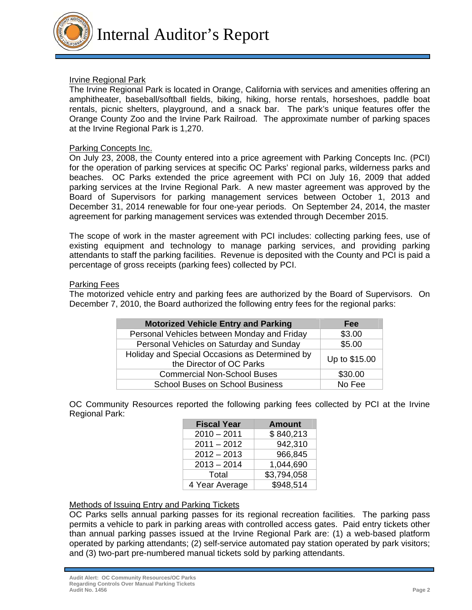

Internal Auditor's Report

## Irvine Regional Park

The Irvine Regional Park is located in Orange, California with services and amenities offering an amphitheater, baseball/softball fields, biking, hiking, horse rentals, horseshoes, paddle boat rentals, picnic shelters, playground, and a snack bar. The park's unique features offer the Orange County Zoo and the Irvine Park Railroad. The approximate number of parking spaces at the Irvine Regional Park is 1,270.

#### Parking Concepts Inc.

On July 23, 2008, the County entered into a price agreement with Parking Concepts Inc. (PCI) for the operation of parking services at specific OC Parks' regional parks, wilderness parks and beaches. OC Parks extended the price agreement with PCI on July 16, 2009 that added parking services at the Irvine Regional Park. A new master agreement was approved by the Board of Supervisors for parking management services between October 1, 2013 and December 31, 2014 renewable for four one-year periods. On September 24, 2014, the master agreement for parking management services was extended through December 2015.

The scope of work in the master agreement with PCI includes: collecting parking fees, use of existing equipment and technology to manage parking services, and providing parking attendants to staff the parking facilities. Revenue is deposited with the County and PCI is paid a percentage of gross receipts (parking fees) collected by PCI.

#### Parking Fees

The motorized vehicle entry and parking fees are authorized by the Board of Supervisors. On December 7, 2010, the Board authorized the following entry fees for the regional parks:

| <b>Motorized Vehicle Entry and Parking</b>                                 | Fee           |
|----------------------------------------------------------------------------|---------------|
| Personal Vehicles between Monday and Friday                                | \$3.00        |
| Personal Vehicles on Saturday and Sunday                                   | \$5.00        |
| Holiday and Special Occasions as Determined by<br>the Director of OC Parks | Up to \$15.00 |
| <b>Commercial Non-School Buses</b>                                         | \$30.00       |
| School Buses on School Business                                            | No Fee        |

OC Community Resources reported the following parking fees collected by PCI at the Irvine Regional Park:

| <b>Fiscal Year</b> | <b>Amount</b> |
|--------------------|---------------|
| $2010 - 2011$      | \$840,213     |
| $2011 - 2012$      | 942,310       |
| $2012 - 2013$      | 966,845       |
| $2013 - 2014$      | 1,044,690     |
| Total              | \$3,794,058   |
| 4 Year Average     | \$948,514     |

## Methods of Issuing Entry and Parking Tickets

OC Parks sells annual parking passes for its regional recreation facilities. The parking pass permits a vehicle to park in parking areas with controlled access gates. Paid entry tickets other than annual parking passes issued at the Irvine Regional Park are: (1) a web-based platform operated by parking attendants; (2) self-service automated pay station operated by park visitors; and (3) two-part pre-numbered manual tickets sold by parking attendants.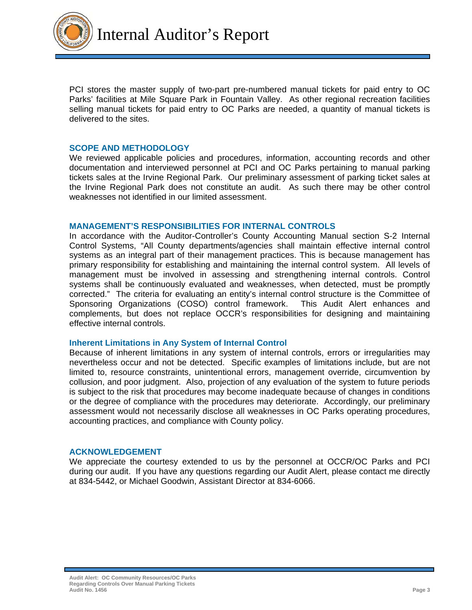

Internal Auditor's Report

PCI stores the master supply of two-part pre-numbered manual tickets for paid entry to OC Parks' facilities at Mile Square Park in Fountain Valley. As other regional recreation facilities selling manual tickets for paid entry to OC Parks are needed, a quantity of manual tickets is delivered to the sites.

#### **SCOPE AND METHODOLOGY**

We reviewed applicable policies and procedures, information, accounting records and other documentation and interviewed personnel at PCI and OC Parks pertaining to manual parking tickets sales at the Irvine Regional Park. Our preliminary assessment of parking ticket sales at the Irvine Regional Park does not constitute an audit. As such there may be other control weaknesses not identified in our limited assessment.

#### **MANAGEMENT'S RESPONSIBILITIES FOR INTERNAL CONTROLS**

In accordance with the Auditor-Controller's County Accounting Manual section S-2 Internal Control Systems, "All County departments/agencies shall maintain effective internal control systems as an integral part of their management practices. This is because management has primary responsibility for establishing and maintaining the internal control system. All levels of management must be involved in assessing and strengthening internal controls. Control systems shall be continuously evaluated and weaknesses, when detected, must be promptly corrected." The criteria for evaluating an entity's internal control structure is the Committee of Sponsoring Organizations (COSO) control framework. This Audit Alert enhances and complements, but does not replace OCCR's responsibilities for designing and maintaining effective internal controls.

#### **Inherent Limitations in Any System of Internal Control**

Because of inherent limitations in any system of internal controls, errors or irregularities may nevertheless occur and not be detected. Specific examples of limitations include, but are not limited to, resource constraints, unintentional errors, management override, circumvention by collusion, and poor judgment. Also, projection of any evaluation of the system to future periods is subject to the risk that procedures may become inadequate because of changes in conditions or the degree of compliance with the procedures may deteriorate. Accordingly, our preliminary assessment would not necessarily disclose all weaknesses in OC Parks operating procedures, accounting practices, and compliance with County policy.

#### **ACKNOWLEDGEMENT**

We appreciate the courtesy extended to us by the personnel at OCCR/OC Parks and PCI during our audit. If you have any questions regarding our Audit Alert, please contact me directly at 834-5442, or Michael Goodwin, Assistant Director at 834-6066.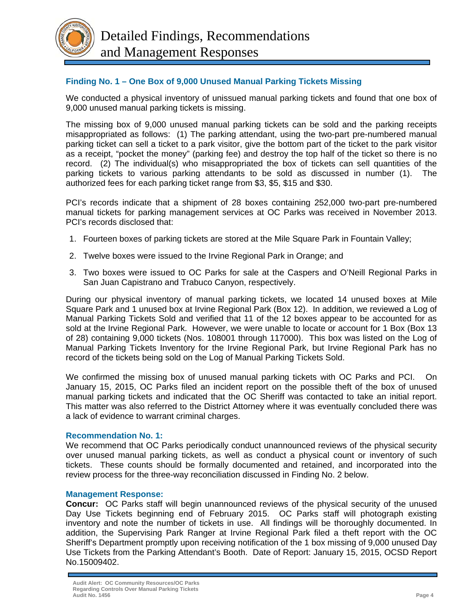

## **Finding No. 1 – One Box of 9,000 Unused Manual Parking Tickets Missing**

We conducted a physical inventory of unissued manual parking tickets and found that one box of 9,000 unused manual parking tickets is missing.

The missing box of 9,000 unused manual parking tickets can be sold and the parking receipts misappropriated as follows: (1) The parking attendant, using the two-part pre-numbered manual parking ticket can sell a ticket to a park visitor, give the bottom part of the ticket to the park visitor as a receipt, "pocket the money" (parking fee) and destroy the top half of the ticket so there is no record. (2) The individual(s) who misappropriated the box of tickets can sell quantities of the parking tickets to various parking attendants to be sold as discussed in number (1). The authorized fees for each parking ticket range from \$3, \$5, \$15 and \$30.

PCI's records indicate that a shipment of 28 boxes containing 252,000 two-part pre-numbered manual tickets for parking management services at OC Parks was received in November 2013. PCI's records disclosed that:

- 1. Fourteen boxes of parking tickets are stored at the Mile Square Park in Fountain Valley;
- 2. Twelve boxes were issued to the Irvine Regional Park in Orange; and
- 3. Two boxes were issued to OC Parks for sale at the Caspers and O'Neill Regional Parks in San Juan Capistrano and Trabuco Canyon, respectively.

During our physical inventory of manual parking tickets, we located 14 unused boxes at Mile Square Park and 1 unused box at Irvine Regional Park (Box 12). In addition, we reviewed a Log of Manual Parking Tickets Sold and verified that 11 of the 12 boxes appear to be accounted for as sold at the Irvine Regional Park. However, we were unable to locate or account for 1 Box (Box 13 of 28) containing 9,000 tickets (Nos. 108001 through 117000). This box was listed on the Log of Manual Parking Tickets Inventory for the Irvine Regional Park, but Irvine Regional Park has no record of the tickets being sold on the Log of Manual Parking Tickets Sold.

We confirmed the missing box of unused manual parking tickets with OC Parks and PCI. On January 15, 2015, OC Parks filed an incident report on the possible theft of the box of unused manual parking tickets and indicated that the OC Sheriff was contacted to take an initial report. This matter was also referred to the District Attorney where it was eventually concluded there was a lack of evidence to warrant criminal charges.

#### **Recommendation No. 1:**

We recommend that OC Parks periodically conduct unannounced reviews of the physical security over unused manual parking tickets, as well as conduct a physical count or inventory of such tickets. These counts should be formally documented and retained, and incorporated into the review process for the three-way reconciliation discussed in Finding No. 2 below.

#### **Management Response:**

**Concur:** OC Parks staff will begin unannounced reviews of the physical security of the unused Day Use Tickets beginning end of February 2015. OC Parks staff will photograph existing inventory and note the number of tickets in use. All findings will be thoroughly documented. In addition, the Supervising Park Ranger at Irvine Regional Park filed a theft report with the OC Sheriff's Department promptly upon receiving notification of the 1 box missing of 9,000 unused Day Use Tickets from the Parking Attendant's Booth. Date of Report: January 15, 2015, OCSD Report No.15009402.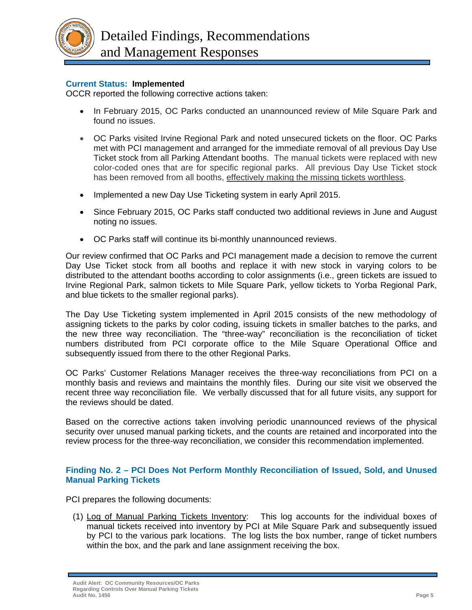

## **Current Status: Implemented**

OCCR reported the following corrective actions taken:

- In February 2015, OC Parks conducted an unannounced review of Mile Square Park and found no issues.
- OC Parks visited Irvine Regional Park and noted unsecured tickets on the floor. OC Parks met with PCI management and arranged for the immediate removal of all previous Day Use Ticket stock from all Parking Attendant booths. The manual tickets were replaced with new color-coded ones that are for specific regional parks. All previous Day Use Ticket stock has been removed from all booths, effectively making the missing tickets worthless.
- Implemented a new Day Use Ticketing system in early April 2015.
- Since February 2015, OC Parks staff conducted two additional reviews in June and August noting no issues.
- OC Parks staff will continue its bi-monthly unannounced reviews.

Our review confirmed that OC Parks and PCI management made a decision to remove the current Day Use Ticket stock from all booths and replace it with new stock in varying colors to be distributed to the attendant booths according to color assignments (i.e., green tickets are issued to Irvine Regional Park, salmon tickets to Mile Square Park, yellow tickets to Yorba Regional Park, and blue tickets to the smaller regional parks).

The Day Use Ticketing system implemented in April 2015 consists of the new methodology of assigning tickets to the parks by color coding, issuing tickets in smaller batches to the parks, and the new three way reconciliation. The "three-way" reconciliation is the reconciliation of ticket numbers distributed from PCI corporate office to the Mile Square Operational Office and subsequently issued from there to the other Regional Parks.

OC Parks' Customer Relations Manager receives the three-way reconciliations from PCI on a monthly basis and reviews and maintains the monthly files. During our site visit we observed the recent three way reconciliation file. We verbally discussed that for all future visits, any support for the reviews should be dated.

Based on the corrective actions taken involving periodic unannounced reviews of the physical security over unused manual parking tickets, and the counts are retained and incorporated into the review process for the three-way reconciliation, we consider this recommendation implemented.

## **Finding No. 2 – PCI Does Not Perform Monthly Reconciliation of Issued, Sold, and Unused Manual Parking Tickets**

PCI prepares the following documents:

(1) Log of Manual Parking Tickets Inventory: This log accounts for the individual boxes of manual tickets received into inventory by PCI at Mile Square Park and subsequently issued by PCI to the various park locations. The log lists the box number, range of ticket numbers within the box, and the park and lane assignment receiving the box.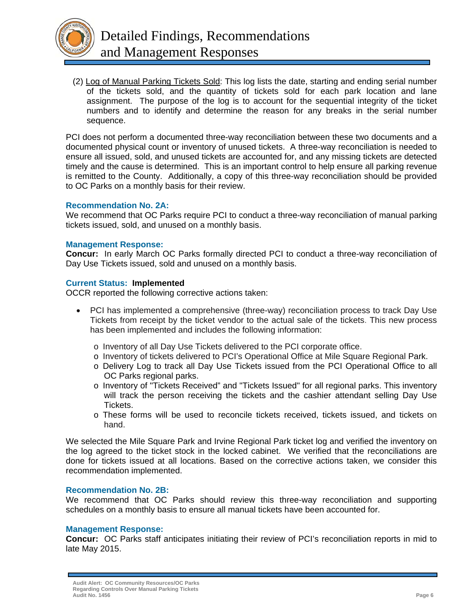

(2) Log of Manual Parking Tickets Sold: This log lists the date, starting and ending serial number of the tickets sold, and the quantity of tickets sold for each park location and lane assignment. The purpose of the log is to account for the sequential integrity of the ticket numbers and to identify and determine the reason for any breaks in the serial number sequence.

PCI does not perform a documented three-way reconciliation between these two documents and a documented physical count or inventory of unused tickets. A three-way reconciliation is needed to ensure all issued, sold, and unused tickets are accounted for, and any missing tickets are detected timely and the cause is determined. This is an important control to help ensure all parking revenue is remitted to the County. Additionally, a copy of this three-way reconciliation should be provided to OC Parks on a monthly basis for their review.

#### **Recommendation No. 2A:**

We recommend that OC Parks require PCI to conduct a three-way reconciliation of manual parking tickets issued, sold, and unused on a monthly basis.

#### **Management Response:**

**Concur:** In early March OC Parks formally directed PCI to conduct a three-way reconciliation of Day Use Tickets issued, sold and unused on a monthly basis.

#### **Current Status: Implemented**

OCCR reported the following corrective actions taken:

- PCI has implemented a comprehensive (three-way) reconciliation process to track Day Use Tickets from receipt by the ticket vendor to the actual sale of the tickets. This new process has been implemented and includes the following information:
	- o Inventory of all Day Use Tickets delivered to the PCI corporate office.
	- o Inventory of tickets delivered to PCI's Operational Office at Mile Square Regional Park.
	- o Delivery Log to track all Day Use Tickets issued from the PCI Operational Office to all OC Parks regional parks.
	- o Inventory of "Tickets Received" and "Tickets Issued" for all regional parks. This inventory will track the person receiving the tickets and the cashier attendant selling Day Use Tickets.
	- o These forms will be used to reconcile tickets received, tickets issued, and tickets on hand.

We selected the Mile Square Park and Irvine Regional Park ticket log and verified the inventory on the log agreed to the ticket stock in the locked cabinet. We verified that the reconciliations are done for tickets issued at all locations. Based on the corrective actions taken, we consider this recommendation implemented.

#### **Recommendation No. 2B:**

We recommend that OC Parks should review this three-way reconciliation and supporting schedules on a monthly basis to ensure all manual tickets have been accounted for.

#### **Management Response:**

**Concur:** OC Parks staff anticipates initiating their review of PCI's reconciliation reports in mid to late May 2015.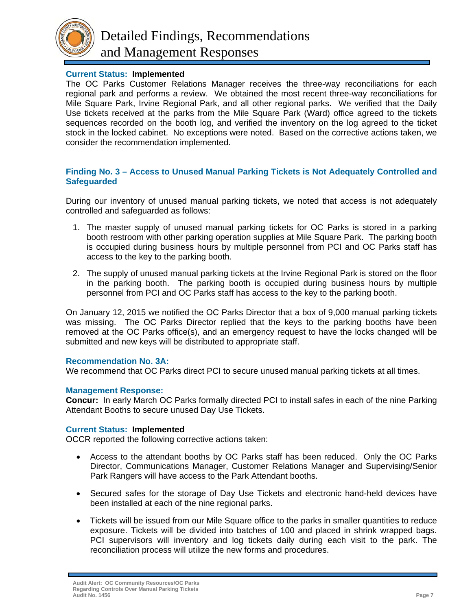

## **Current Status: Implemented**

The OC Parks Customer Relations Manager receives the three-way reconciliations for each regional park and performs a review. We obtained the most recent three-way reconciliations for Mile Square Park, Irvine Regional Park, and all other regional parks. We verified that the Daily Use tickets received at the parks from the Mile Square Park (Ward) office agreed to the tickets sequences recorded on the booth log, and verified the inventory on the log agreed to the ticket stock in the locked cabinet. No exceptions were noted. Based on the corrective actions taken, we consider the recommendation implemented.

#### **Finding No. 3 – Access to Unused Manual Parking Tickets is Not Adequately Controlled and Safeguarded**

During our inventory of unused manual parking tickets, we noted that access is not adequately controlled and safeguarded as follows:

- 1. The master supply of unused manual parking tickets for OC Parks is stored in a parking booth restroom with other parking operation supplies at Mile Square Park. The parking booth is occupied during business hours by multiple personnel from PCI and OC Parks staff has access to the key to the parking booth.
- 2. The supply of unused manual parking tickets at the Irvine Regional Park is stored on the floor in the parking booth. The parking booth is occupied during business hours by multiple personnel from PCI and OC Parks staff has access to the key to the parking booth.

On January 12, 2015 we notified the OC Parks Director that a box of 9,000 manual parking tickets was missing. The OC Parks Director replied that the keys to the parking booths have been removed at the OC Parks office(s), and an emergency request to have the locks changed will be submitted and new keys will be distributed to appropriate staff.

#### **Recommendation No. 3A:**

We recommend that OC Parks direct PCI to secure unused manual parking tickets at all times.

#### **Management Response:**

**Concur:** In early March OC Parks formally directed PCI to install safes in each of the nine Parking Attendant Booths to secure unused Day Use Tickets.

#### **Current Status: Implemented**

OCCR reported the following corrective actions taken:

- Access to the attendant booths by OC Parks staff has been reduced. Only the OC Parks Director, Communications Manager, Customer Relations Manager and Supervising/Senior Park Rangers will have access to the Park Attendant booths.
- Secured safes for the storage of Day Use Tickets and electronic hand-held devices have been installed at each of the nine regional parks.
- Tickets will be issued from our Mile Square office to the parks in smaller quantities to reduce exposure. Tickets will be divided into batches of 100 and placed in shrink wrapped bags. PCI supervisors will inventory and log tickets daily during each visit to the park. The reconciliation process will utilize the new forms and procedures.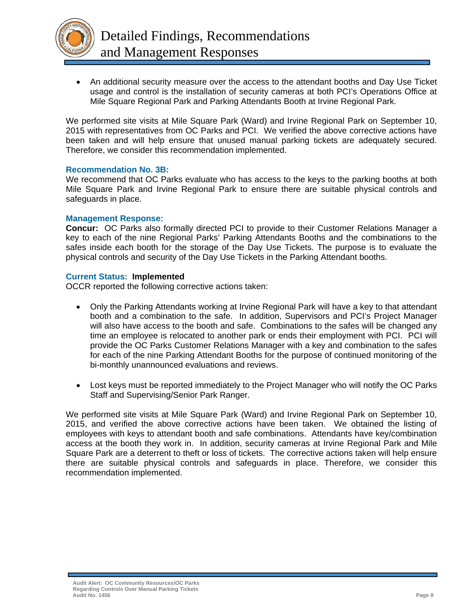

 An additional security measure over the access to the attendant booths and Day Use Ticket usage and control is the installation of security cameras at both PCI's Operations Office at Mile Square Regional Park and Parking Attendants Booth at Irvine Regional Park.

We performed site visits at Mile Square Park (Ward) and Irvine Regional Park on September 10, 2015 with representatives from OC Parks and PCI. We verified the above corrective actions have been taken and will help ensure that unused manual parking tickets are adequately secured. Therefore, we consider this recommendation implemented.

#### **Recommendation No. 3B:**

We recommend that OC Parks evaluate who has access to the keys to the parking booths at both Mile Square Park and Irvine Regional Park to ensure there are suitable physical controls and safeguards in place.

#### **Management Response:**

**Concur:** OC Parks also formally directed PCI to provide to their Customer Relations Manager a key to each of the nine Regional Parks' Parking Attendants Booths and the combinations to the safes inside each booth for the storage of the Day Use Tickets. The purpose is to evaluate the physical controls and security of the Day Use Tickets in the Parking Attendant booths.

#### **Current Status: Implemented**

OCCR reported the following corrective actions taken:

- Only the Parking Attendants working at Irvine Regional Park will have a key to that attendant booth and a combination to the safe. In addition, Supervisors and PCI's Project Manager will also have access to the booth and safe. Combinations to the safes will be changed any time an employee is relocated to another park or ends their employment with PCI. PCI will provide the OC Parks Customer Relations Manager with a key and combination to the safes for each of the nine Parking Attendant Booths for the purpose of continued monitoring of the bi-monthly unannounced evaluations and reviews.
- Lost keys must be reported immediately to the Project Manager who will notify the OC Parks Staff and Supervising/Senior Park Ranger.

We performed site visits at Mile Square Park (Ward) and Irvine Regional Park on September 10, 2015, and verified the above corrective actions have been taken. We obtained the listing of employees with keys to attendant booth and safe combinations. Attendants have key/combination access at the booth they work in. In addition, security cameras at Irvine Regional Park and Mile Square Park are a deterrent to theft or loss of tickets. The corrective actions taken will help ensure there are suitable physical controls and safeguards in place. Therefore, we consider this recommendation implemented.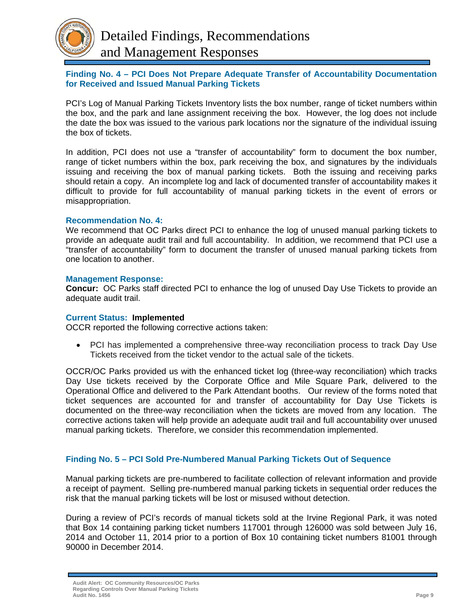

## **Finding No. 4 – PCI Does Not Prepare Adequate Transfer of Accountability Documentation for Received and Issued Manual Parking Tickets**

PCI's Log of Manual Parking Tickets Inventory lists the box number, range of ticket numbers within the box, and the park and lane assignment receiving the box. However, the log does not include the date the box was issued to the various park locations nor the signature of the individual issuing the box of tickets.

In addition, PCI does not use a "transfer of accountability" form to document the box number, range of ticket numbers within the box, park receiving the box, and signatures by the individuals issuing and receiving the box of manual parking tickets. Both the issuing and receiving parks should retain a copy. An incomplete log and lack of documented transfer of accountability makes it difficult to provide for full accountability of manual parking tickets in the event of errors or misappropriation.

#### **Recommendation No. 4:**

We recommend that OC Parks direct PCI to enhance the log of unused manual parking tickets to provide an adequate audit trail and full accountability. In addition, we recommend that PCI use a "transfer of accountability" form to document the transfer of unused manual parking tickets from one location to another.

#### **Management Response:**

**Concur:** OC Parks staff directed PCI to enhance the log of unused Day Use Tickets to provide an adequate audit trail.

#### **Current Status: Implemented**

OCCR reported the following corrective actions taken:

 PCI has implemented a comprehensive three-way reconciliation process to track Day Use Tickets received from the ticket vendor to the actual sale of the tickets.

OCCR/OC Parks provided us with the enhanced ticket log (three-way reconciliation) which tracks Day Use tickets received by the Corporate Office and Mile Square Park, delivered to the Operational Office and delivered to the Park Attendant booths. Our review of the forms noted that ticket sequences are accounted for and transfer of accountability for Day Use Tickets is documented on the three-way reconciliation when the tickets are moved from any location. The corrective actions taken will help provide an adequate audit trail and full accountability over unused manual parking tickets. Therefore, we consider this recommendation implemented.

## **Finding No. 5 – PCI Sold Pre-Numbered Manual Parking Tickets Out of Sequence**

Manual parking tickets are pre-numbered to facilitate collection of relevant information and provide a receipt of payment. Selling pre-numbered manual parking tickets in sequential order reduces the risk that the manual parking tickets will be lost or misused without detection.

During a review of PCI's records of manual tickets sold at the Irvine Regional Park, it was noted that Box 14 containing parking ticket numbers 117001 through 126000 was sold between July 16, 2014 and October 11, 2014 prior to a portion of Box 10 containing ticket numbers 81001 through 90000 in December 2014.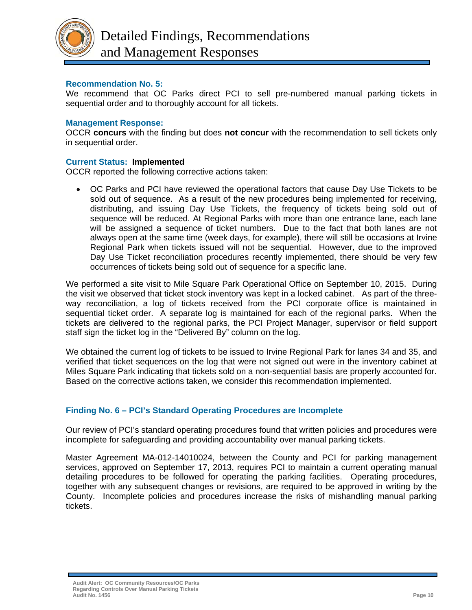

## **Recommendation No. 5:**

We recommend that OC Parks direct PCI to sell pre-numbered manual parking tickets in sequential order and to thoroughly account for all tickets.

#### **Management Response:**

OCCR **concurs** with the finding but does **not concur** with the recommendation to sell tickets only in sequential order.

#### **Current Status: Implemented**

OCCR reported the following corrective actions taken:

 OC Parks and PCI have reviewed the operational factors that cause Day Use Tickets to be sold out of sequence. As a result of the new procedures being implemented for receiving, distributing, and issuing Day Use Tickets, the frequency of tickets being sold out of sequence will be reduced. At Regional Parks with more than one entrance lane, each lane will be assigned a sequence of ticket numbers. Due to the fact that both lanes are not always open at the same time (week days, for example), there will still be occasions at Irvine Regional Park when tickets issued will not be sequential. However, due to the improved Day Use Ticket reconciliation procedures recently implemented, there should be very few occurrences of tickets being sold out of sequence for a specific lane.

We performed a site visit to Mile Square Park Operational Office on September 10, 2015. During the visit we observed that ticket stock inventory was kept in a locked cabinet. As part of the threeway reconciliation, a log of tickets received from the PCI corporate office is maintained in sequential ticket order. A separate log is maintained for each of the regional parks. When the tickets are delivered to the regional parks, the PCI Project Manager, supervisor or field support staff sign the ticket log in the "Delivered By" column on the log.

We obtained the current log of tickets to be issued to Irvine Regional Park for lanes 34 and 35, and verified that ticket sequences on the log that were not signed out were in the inventory cabinet at Miles Square Park indicating that tickets sold on a non-sequential basis are properly accounted for. Based on the corrective actions taken, we consider this recommendation implemented.

## **Finding No. 6 – PCI's Standard Operating Procedures are Incomplete**

Our review of PCI's standard operating procedures found that written policies and procedures were incomplete for safeguarding and providing accountability over manual parking tickets.

Master Agreement MA-012-14010024, between the County and PCI for parking management services, approved on September 17, 2013, requires PCI to maintain a current operating manual detailing procedures to be followed for operating the parking facilities. Operating procedures, together with any subsequent changes or revisions, are required to be approved in writing by the County. Incomplete policies and procedures increase the risks of mishandling manual parking tickets.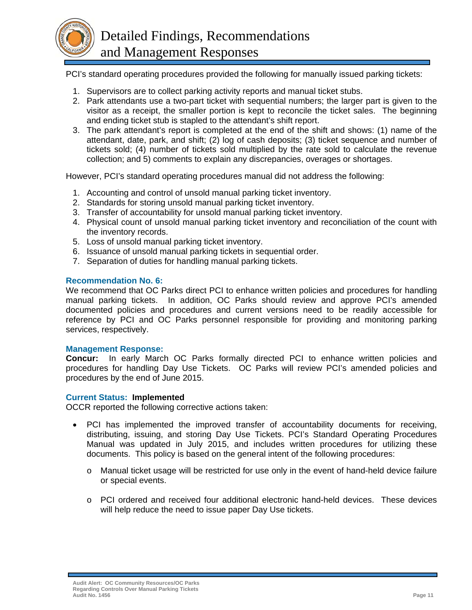

PCI's standard operating procedures provided the following for manually issued parking tickets:

- 1. Supervisors are to collect parking activity reports and manual ticket stubs.
- 2. Park attendants use a two-part ticket with sequential numbers; the larger part is given to the visitor as a receipt, the smaller portion is kept to reconcile the ticket sales. The beginning and ending ticket stub is stapled to the attendant's shift report.
- 3. The park attendant's report is completed at the end of the shift and shows: (1) name of the attendant, date, park, and shift; (2) log of cash deposits; (3) ticket sequence and number of tickets sold; (4) number of tickets sold multiplied by the rate sold to calculate the revenue collection; and 5) comments to explain any discrepancies, overages or shortages.

However, PCI's standard operating procedures manual did not address the following:

- 1. Accounting and control of unsold manual parking ticket inventory.
- 2. Standards for storing unsold manual parking ticket inventory.
- 3. Transfer of accountability for unsold manual parking ticket inventory.
- 4. Physical count of unsold manual parking ticket inventory and reconciliation of the count with the inventory records.
- 5. Loss of unsold manual parking ticket inventory.
- 6. Issuance of unsold manual parking tickets in sequential order.
- 7. Separation of duties for handling manual parking tickets.

#### **Recommendation No. 6:**

We recommend that OC Parks direct PCI to enhance written policies and procedures for handling manual parking tickets. In addition, OC Parks should review and approve PCI's amended documented policies and procedures and current versions need to be readily accessible for reference by PCI and OC Parks personnel responsible for providing and monitoring parking services, respectively.

#### **Management Response:**

**Concur:** In early March OC Parks formally directed PCI to enhance written policies and procedures for handling Day Use Tickets. OC Parks will review PCI's amended policies and procedures by the end of June 2015.

#### **Current Status: Implemented**

OCCR reported the following corrective actions taken:

- PCI has implemented the improved transfer of accountability documents for receiving, distributing, issuing, and storing Day Use Tickets. PCI's Standard Operating Procedures Manual was updated in July 2015, and includes written procedures for utilizing these documents. This policy is based on the general intent of the following procedures:
	- o Manual ticket usage will be restricted for use only in the event of hand-held device failure or special events.
	- o PCI ordered and received four additional electronic hand-held devices. These devices will help reduce the need to issue paper Day Use tickets.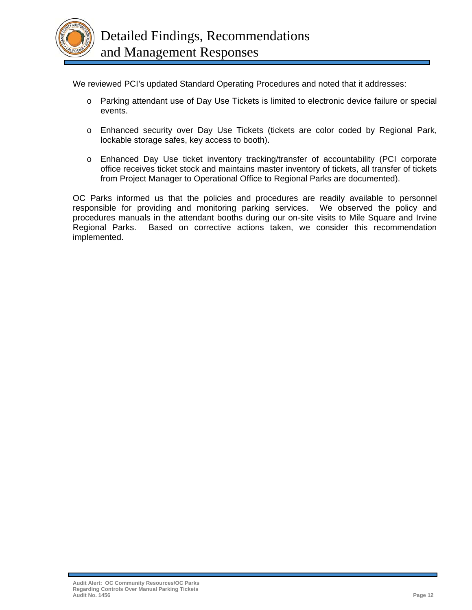

We reviewed PCI's updated Standard Operating Procedures and noted that it addresses:

- o Parking attendant use of Day Use Tickets is limited to electronic device failure or special events.
- o Enhanced security over Day Use Tickets (tickets are color coded by Regional Park, lockable storage safes, key access to booth).
- o Enhanced Day Use ticket inventory tracking/transfer of accountability (PCI corporate office receives ticket stock and maintains master inventory of tickets, all transfer of tickets from Project Manager to Operational Office to Regional Parks are documented).

OC Parks informed us that the policies and procedures are readily available to personnel responsible for providing and monitoring parking services. We observed the policy and procedures manuals in the attendant booths during our on-site visits to Mile Square and Irvine Regional Parks. Based on corrective actions taken, we consider this recommendation implemented.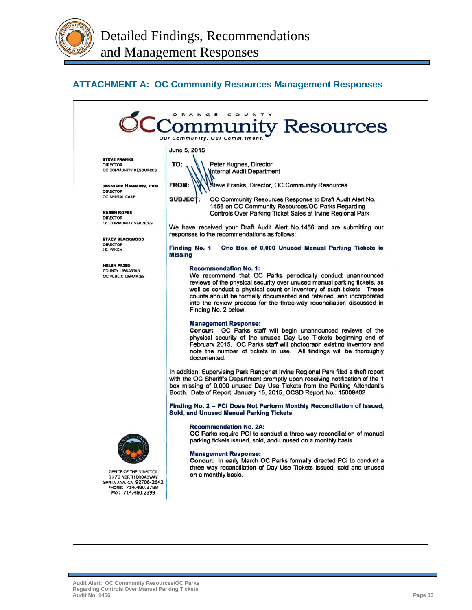## **ATTACHMENT A: OC Community Resources Management Responses**

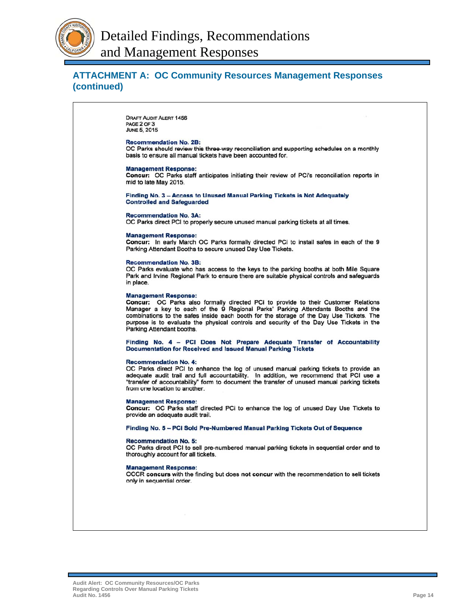

## **ATTACHMENT A: OC Community Resources Management Responses (continued)**

**DRAFT AUDIT ALERT 1456** PAGE 2 OF 3 **JUNE 5, 2015** 

#### **Recommendation No. 2B:**

OC Parks should review this three-way reconciliation and supporting schedules on a monthly basis to ensure all manual tickets have been accounted for.

#### **Management Response:**

Concur: OC Parks staff anticipates initiating their review of PCi's reconciliation reports in mid to late May 2015.

Finding No. 3 - Access to Unused Manual Parking Tickets is Not Adequately **Controlled and Safeguarded** 

#### **Recommendation No. 3A:**

OC Parks direct PCI to properly secure unused manual parking tickets at all times.

#### **Management Response:**

Concur: In early March OC Parks formally directed PCi to install safes in each of the 9 Parking Attendant Booths to secure unused Day Use Tickets.

#### **Recommendation No. 3B:**

OC Parks evaluate who has access to the keys to the parking booths at both Mile Square Park and Irvine Regional Park to ensure there are suitable physical controls and safeguards in place.

#### **Management Response:**

Concur: OC Parks also formally directed PCi to provide to their Customer Relations<br>Manager a key to each of the 9 Regional Parks' Parking Attendants Booths and the combinations to the safes inside each booth for the storage of the Day Use Tickets. The purpose is to evaluate the physical controls and security of the Day Use Tickets in the Parking Attendant booths.

Finding No. 4 - PCI Does Not Prepare Adequate Transfer of Accountability **Documentation for Received and Issued Manual Parking Tickets** 

#### **Recommendation No. 4:**

OC Parks direct PCI to enhance the log of unused manual parking tickets to provide an adequate audit trail and full accountability. In addition, we recommend that PCI use a "transfer of accountability" form to document the transfer of unused manual parking tickets from one location to another.

#### **Management Response:**

Concur: OC Parks staff directed PCi to enhance the log of unused Day Use Tickets to provide an adequate audit trail.

Finding No. 5 - PCI Sold Pre-Numbered Manual Parking Tickets Out of Sequence

#### **Recommendation No. 5:**

OC Parks direct PCI to sell pre-numbered manual parking tickets in sequential order and to thoroughly account for all tickets.

#### **Management Response:**

OCCR concurs with the finding but does not concur with the recommendation to sell tickets only in sequential order.